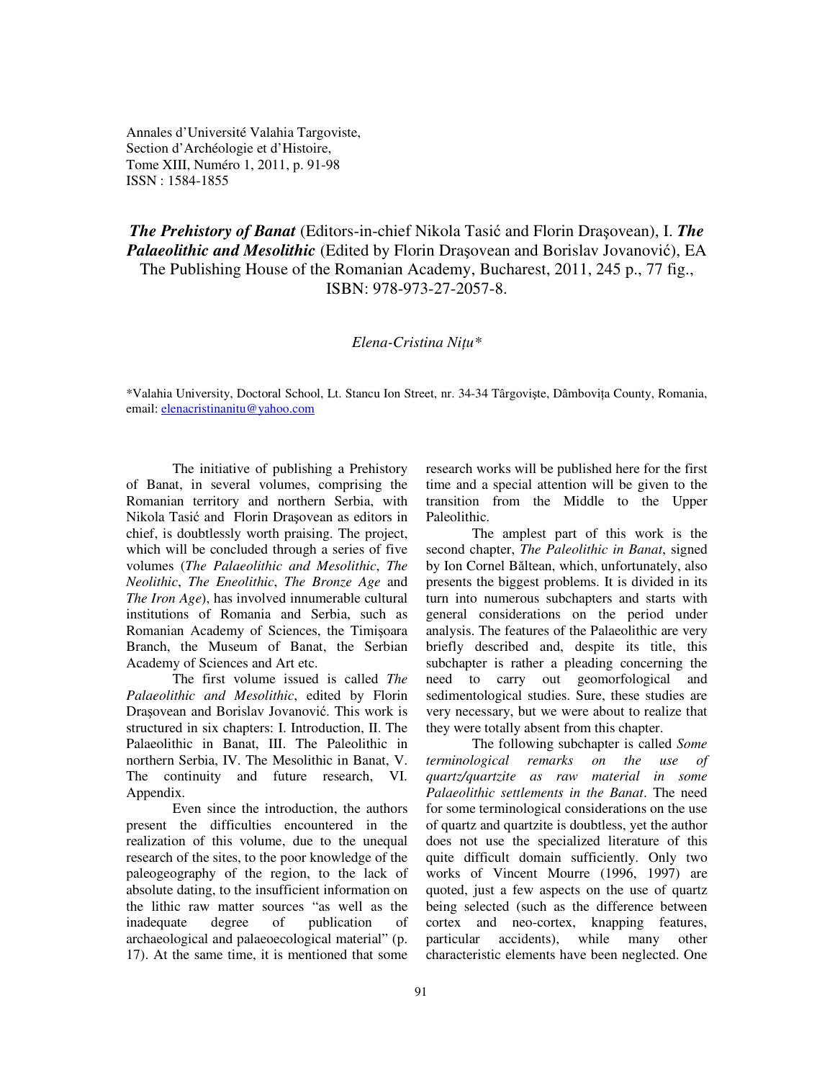Annales d'Université Valahia Targoviste, Section d'Archéologie et d'Histoire, Tome XIII, Numéro 1, 2011, p. 91-98 ISSN : 1584-1855

*The Prehistory of Banat* (Editors-in-chief Nikola Tasić and Florin Draşovean), I. *The Palaeolithic and Mesolithic* (Edited by Florin Draşovean and Borislav Jovanović), EA The Publishing House of the Romanian Academy, Bucharest, 2011, 245 p., 77 fig., ISBN: 978-973-27-2057-8.

# *Elena-Cristina Ni*ţ*u\**

\*Valahia University, Doctoral School, Lt. Stancu Ion Street, nr. 34-34 Târgovişte, Dâmboviţa County, Romania, email: elenacristinanitu@yahoo.com

The initiative of publishing a Prehistory of Banat, in several volumes, comprising the Romanian territory and northern Serbia, with Nikola Tasić and Florin Draşovean as editors in chief, is doubtlessly worth praising. The project, which will be concluded through a series of five volumes (*The Palaeolithic and Mesolithic*, *The Neolithic*, *The Eneolithic*, *The Bronze Age* and *The Iron Age*), has involved innumerable cultural institutions of Romania and Serbia, such as Romanian Academy of Sciences, the Timişoara Branch, the Museum of Banat, the Serbian Academy of Sciences and Art etc.

The first volume issued is called *The Palaeolithic and Mesolithic*, edited by Florin Draşovean and Borislav Jovanović. This work is structured in six chapters: I. Introduction, II. The Palaeolithic in Banat, III. The Paleolithic in northern Serbia, IV. The Mesolithic in Banat, V. The continuity and future research, VI. Appendix.

Even since the introduction, the authors present the difficulties encountered in the realization of this volume, due to the unequal research of the sites, to the poor knowledge of the paleogeography of the region, to the lack of absolute dating, to the insufficient information on the lithic raw matter sources "as well as the inadequate degree of publication of archaeological and palaeoecological material" (p. 17). At the same time, it is mentioned that some research works will be published here for the first time and a special attention will be given to the transition from the Middle to the Upper Paleolithic.

The amplest part of this work is the second chapter, *The Paleolithic in Banat*, signed by Ion Cornel Băltean, which, unfortunately, also presents the biggest problems. It is divided in its turn into numerous subchapters and starts with general considerations on the period under analysis. The features of the Palaeolithic are very briefly described and, despite its title, this subchapter is rather a pleading concerning the need to carry out geomorfological and sedimentological studies. Sure, these studies are very necessary, but we were about to realize that they were totally absent from this chapter.

The following subchapter is called *Some terminological remarks on the use of quartz/quartzite as raw material in some Palaeolithic settlements in the Banat*. The need for some terminological considerations on the use of quartz and quartzite is doubtless, yet the author does not use the specialized literature of this quite difficult domain sufficiently. Only two works of Vincent Mourre (1996, 1997) are quoted, just a few aspects on the use of quartz being selected (such as the difference between cortex and neo-cortex, knapping features, particular accidents), while many other characteristic elements have been neglected. One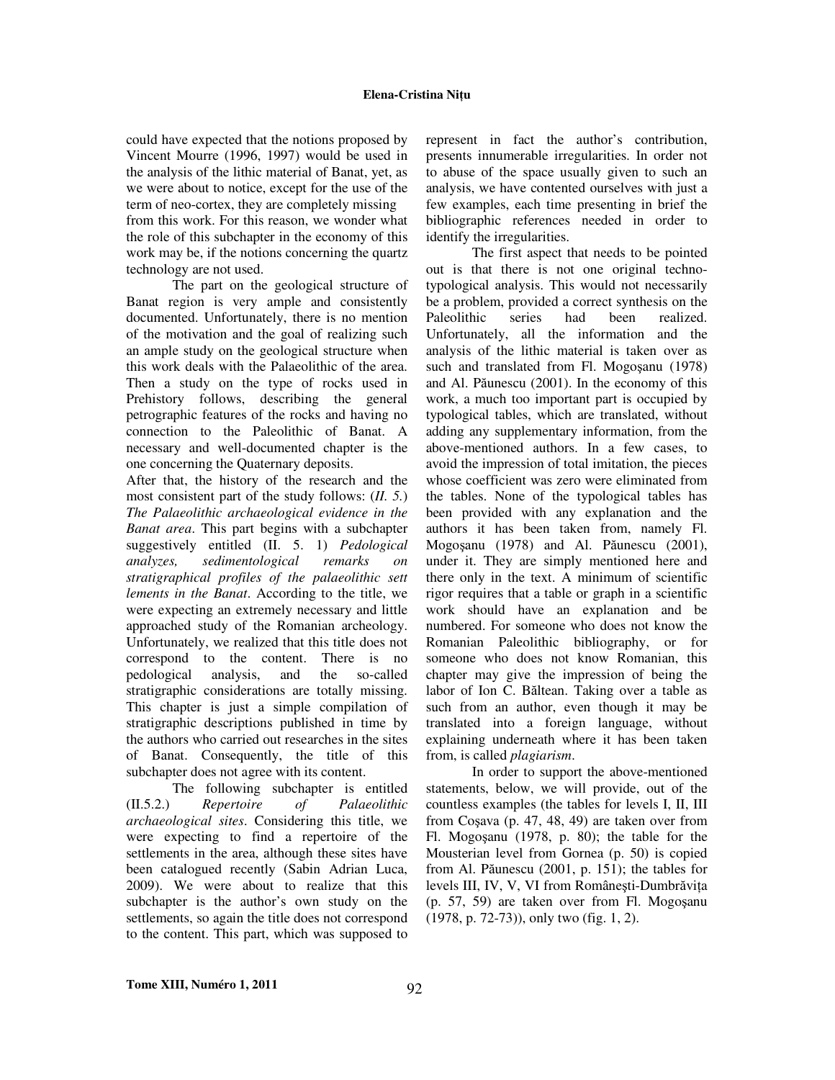could have expected that the notions proposed by Vincent Mourre (1996, 1997) would be used in the analysis of the lithic material of Banat, yet, as we were about to notice, except for the use of the term of neo-cortex, they are completely missing from this work. For this reason, we wonder what the role of this subchapter in the economy of this work may be, if the notions concerning the quartz technology are not used.

The part on the geological structure of Banat region is very ample and consistently documented. Unfortunately, there is no mention of the motivation and the goal of realizing such an ample study on the geological structure when this work deals with the Palaeolithic of the area. Then a study on the type of rocks used in Prehistory follows, describing the general petrographic features of the rocks and having no connection to the Paleolithic of Banat. A necessary and well-documented chapter is the one concerning the Quaternary deposits.

After that, the history of the research and the most consistent part of the study follows: (*II. 5.*) *The Palaeolithic archaeological evidence in the Banat area*. This part begins with a subchapter suggestively entitled (II. 5. 1) *Pedological analyzes, sedimentological remarks on stratigraphical profiles of the palaeolithic sett lements in the Banat*. According to the title, we were expecting an extremely necessary and little approached study of the Romanian archeology. Unfortunately, we realized that this title does not correspond to the content. There is no pedological analysis, and the so-called stratigraphic considerations are totally missing. This chapter is just a simple compilation of stratigraphic descriptions published in time by the authors who carried out researches in the sites of Banat. Consequently, the title of this subchapter does not agree with its content.

The following subchapter is entitled (II.5.2.) *Repertoire of Palaeolithic archaeological sites*. Considering this title, we were expecting to find a repertoire of the settlements in the area, although these sites have been catalogued recently (Sabin Adrian Luca, 2009). We were about to realize that this subchapter is the author's own study on the settlements, so again the title does not correspond to the content. This part, which was supposed to represent in fact the author's contribution, presents innumerable irregularities. In order not to abuse of the space usually given to such an analysis, we have contented ourselves with just a few examples, each time presenting in brief the bibliographic references needed in order to identify the irregularities.

The first aspect that needs to be pointed out is that there is not one original technotypological analysis. This would not necessarily be a problem, provided a correct synthesis on the Paleolithic series had been realized. Unfortunately, all the information and the analysis of the lithic material is taken over as such and translated from Fl. Mogoşanu (1978) and Al. Păunescu (2001). In the economy of this work, a much too important part is occupied by typological tables, which are translated, without adding any supplementary information, from the above-mentioned authors. In a few cases, to avoid the impression of total imitation, the pieces whose coefficient was zero were eliminated from the tables. None of the typological tables has been provided with any explanation and the authors it has been taken from, namely Fl. Mogoşanu (1978) and Al. Păunescu (2001), under it. They are simply mentioned here and there only in the text. A minimum of scientific rigor requires that a table or graph in a scientific work should have an explanation and be numbered. For someone who does not know the Romanian Paleolithic bibliography, or for someone who does not know Romanian, this chapter may give the impression of being the labor of Ion C. Băltean. Taking over a table as such from an author, even though it may be translated into a foreign language, without explaining underneath where it has been taken from, is called *plagiarism*.

In order to support the above-mentioned statements, below, we will provide, out of the countless examples (the tables for levels I, II, III from Coşava (p. 47, 48, 49) are taken over from Fl. Mogoşanu (1978, p. 80); the table for the Mousterian level from Gornea (p. 50) is copied from Al. Păunescu (2001, p. 151); the tables for levels III, IV, V, VI from Româneşti-Dumbrăviţa (p. 57, 59) are taken over from Fl. Mogoşanu (1978, p. 72-73)), only two (fig. 1, 2).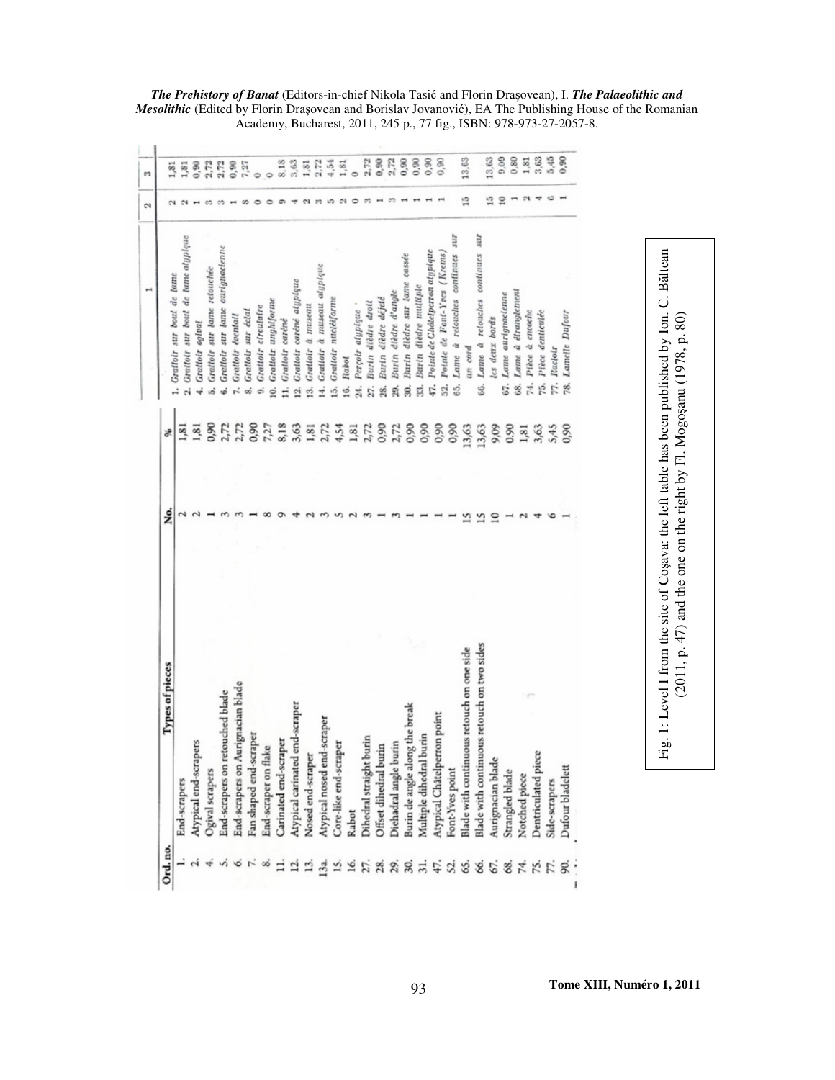|   | 1,81<br>1,81 | Grattoir sur bout de tane atypique<br>Grattoir sur bout de lame                                                                                                                                                    | $^{10}$ $^{10}$                                                                                                                                                                                                                                                                                                                                                                                                                                                                                      | 1,81<br>1,81      |
|---|--------------|--------------------------------------------------------------------------------------------------------------------------------------------------------------------------------------------------------------------|------------------------------------------------------------------------------------------------------------------------------------------------------------------------------------------------------------------------------------------------------------------------------------------------------------------------------------------------------------------------------------------------------------------------------------------------------------------------------------------------------|-------------------|
|   |              |                                                                                                                                                                                                                    |                                                                                                                                                                                                                                                                                                                                                                                                                                                                                                      |                   |
|   |              | Grattoir ogival<br>÷                                                                                                                                                                                               |                                                                                                                                                                                                                                                                                                                                                                                                                                                                                                      | 0,90              |
|   |              |                                                                                                                                                                                                                    |                                                                                                                                                                                                                                                                                                                                                                                                                                                                                                      | 2,72              |
|   |              |                                                                                                                                                                                                                    |                                                                                                                                                                                                                                                                                                                                                                                                                                                                                                      | 2,72              |
|   |              |                                                                                                                                                                                                                    |                                                                                                                                                                                                                                                                                                                                                                                                                                                                                                      | 0,90              |
|   |              |                                                                                                                                                                                                                    |                                                                                                                                                                                                                                                                                                                                                                                                                                                                                                      | 7,27              |
|   |              |                                                                                                                                                                                                                    |                                                                                                                                                                                                                                                                                                                                                                                                                                                                                                      | $\circ$           |
|   |              |                                                                                                                                                                                                                    |                                                                                                                                                                                                                                                                                                                                                                                                                                                                                                      | $\circ$           |
|   |              |                                                                                                                                                                                                                    |                                                                                                                                                                                                                                                                                                                                                                                                                                                                                                      | 8,18              |
|   |              | Grattoir caréné atypique<br>$\mathbf{a}$                                                                                                                                                                           |                                                                                                                                                                                                                                                                                                                                                                                                                                                                                                      | 3,63              |
|   |              | Grattoir à museau<br>ń                                                                                                                                                                                             |                                                                                                                                                                                                                                                                                                                                                                                                                                                                                                      | 1,81              |
|   |              | Grattoir à nuseau algpique<br>14.                                                                                                                                                                                  |                                                                                                                                                                                                                                                                                                                                                                                                                                                                                                      | 2,72              |
|   |              | Grattolr nucléiforme<br>ió,                                                                                                                                                                                        |                                                                                                                                                                                                                                                                                                                                                                                                                                                                                                      | 4,54              |
|   |              | Rabol<br>16.                                                                                                                                                                                                       |                                                                                                                                                                                                                                                                                                                                                                                                                                                                                                      | 1,81              |
|   |              | 24.                                                                                                                                                                                                                |                                                                                                                                                                                                                                                                                                                                                                                                                                                                                                      | ò                 |
|   |              | Burin dièdre droit<br>zī.                                                                                                                                                                                          |                                                                                                                                                                                                                                                                                                                                                                                                                                                                                                      | 2.72              |
|   |              | Burln dièdre déjeté<br>28.                                                                                                                                                                                         |                                                                                                                                                                                                                                                                                                                                                                                                                                                                                                      | 0,90              |
|   |              | Burin dièdre d'angle<br>gi                                                                                                                                                                                         |                                                                                                                                                                                                                                                                                                                                                                                                                                                                                                      | 2,72              |
|   |              | $\frac{3}{2}$                                                                                                                                                                                                      |                                                                                                                                                                                                                                                                                                                                                                                                                                                                                                      | 0,90              |
|   |              | Burin dièdre multiple<br>ż                                                                                                                                                                                         |                                                                                                                                                                                                                                                                                                                                                                                                                                                                                                      | 0,90              |
|   |              | Pointe de Châtelperron atypique<br>47.                                                                                                                                                                             |                                                                                                                                                                                                                                                                                                                                                                                                                                                                                                      | 0,90              |
|   |              | S2.                                                                                                                                                                                                                |                                                                                                                                                                                                                                                                                                                                                                                                                                                                                                      | 0.90              |
|   |              | Lame à relouches continues sur<br>65,                                                                                                                                                                              |                                                                                                                                                                                                                                                                                                                                                                                                                                                                                                      |                   |
|   |              | un cord                                                                                                                                                                                                            |                                                                                                                                                                                                                                                                                                                                                                                                                                                                                                      | 13,63             |
|   |              | g.                                                                                                                                                                                                                 |                                                                                                                                                                                                                                                                                                                                                                                                                                                                                                      |                   |
| Ξ |              |                                                                                                                                                                                                                    |                                                                                                                                                                                                                                                                                                                                                                                                                                                                                                      | 13,63             |
|   |              | 67.                                                                                                                                                                                                                |                                                                                                                                                                                                                                                                                                                                                                                                                                                                                                      | 0.09<br>0,80      |
|   |              |                                                                                                                                                                                                                    |                                                                                                                                                                                                                                                                                                                                                                                                                                                                                                      | 1,81              |
|   |              |                                                                                                                                                                                                                    |                                                                                                                                                                                                                                                                                                                                                                                                                                                                                                      |                   |
|   |              |                                                                                                                                                                                                                    |                                                                                                                                                                                                                                                                                                                                                                                                                                                                                                      | 3,63              |
|   |              | Racloir                                                                                                                                                                                                            |                                                                                                                                                                                                                                                                                                                                                                                                                                                                                                      | 5,45              |
|   |              | 78.                                                                                                                                                                                                                |                                                                                                                                                                                                                                                                                                                                                                                                                                                                                                      | 0,90              |
|   |              | 0,90<br>0,90<br>2,72<br>7,27<br>8,18<br>2,72<br>3,63<br>0,90<br>4,54<br>2,72<br>0,90<br>0,90<br>0,90<br>0,90<br>13,63<br>9,09<br>0.90<br>$1,81$<br>$2,72$<br>1,81<br>2,72<br>13,63<br>1,81<br>3,63<br>S,45<br>0,90 | Lane à retouches continues sur<br>Grattoir sur lane aurignacienne<br>Pointe de Font-Yves (Krems)<br>Burin dièdre sur lame cassée<br>Grallolr sur lame relouchée<br>Lame à étranglement<br>Lame aurignacienne<br>Grattoir unghiforme<br>Perçoir alypique '<br>Grattoir circulaire<br>Grattoir sur éclat<br>Pièce à encoche<br>Pièce denticalée<br>Lamelle Dufour<br>Grattoir éventail<br>les deux bords<br>Grattoir caréné<br>74.<br>75.<br>Γ.<br>68.<br>$\overline{1}$<br>ιń,<br>g,<br>é<br>οó<br>ø, | 12<br>≘<br>0<br>s |

*The Prehistory of Banat* (Editors-in-chief Nikola Tasić and Florin Draşovean), I. *The Palaeolithic and Mesolithic* (Edited by Florin Draşovean and Borislav Jovanović), EA The Publishing House of the Romanian Academy, Bucharest, 2011, 245 p., 77 fig., ISBN: 978-973-27-2057-8.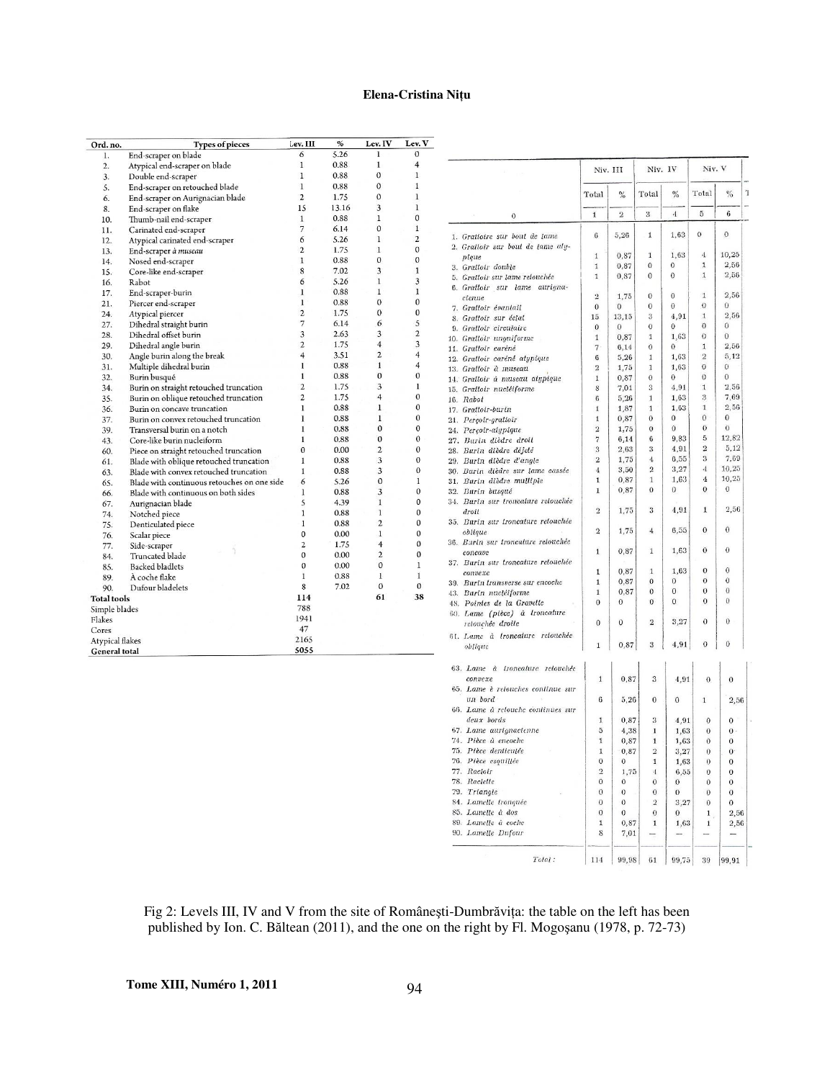| Ord. no.                                       | <b>Types of pieces</b>                      | Lev. III                | %     | Lev. IV        | Lev. V                  |
|------------------------------------------------|---------------------------------------------|-------------------------|-------|----------------|-------------------------|
| 1.                                             | End-scraper on blade                        | 6                       | 5.26  | 1              | $\mathbf{0}$            |
| $\overline{2}$ .                               | Atypical end-scraper on blade               | $\mathbf{I}$            | 0.88  | $\mathbf{1}$   | $\overline{4}$          |
| 3.                                             | Double end-scraper                          | 1                       | 0.88  | 0              | 1                       |
| 5.                                             | End-scraper on retouched blade              | $\mathbf{1}$            | 0.88  | $\mathbf{0}$   | $\mathbf{1}$            |
| 6.                                             | End-scraper on Aurignacian blade            | $\overline{2}$          | 1.75  | $\mathbf{0}$   | 1                       |
| 8.                                             | End-scraper on flake                        | 15                      | 13.16 | 3              | $\mathbf{1}$            |
| 10.                                            | Thumb-nail end-scraper                      | $\mathbf{1}$            | 0.88  | $\mathbf{I}$   | $\mathbf{0}$            |
| 11.                                            | Carinated end-scraper                       | 7                       | 6.14  | $\theta$       | $\mathbf{1}$            |
| 12.                                            | Atypical carinated end-scraper              | 6                       | 5.26  | $\mathbf{1}$   | $\overline{c}$          |
| 13.                                            | End-scraper à museau                        | $\overline{2}$          | 1.75  | $\mathbf{1}$   | $\mathbf{0}$            |
| 14.                                            | Nosed end-scraper                           | 1                       | 0.88  | $\theta$       | $\mathbf{0}$            |
| 15.                                            | Core-like end-scraper                       | 8                       | 7.02  | 3              | $\mathbf{1}$            |
| 16.                                            | Rabot                                       | 6                       | 5.26  | $\mathbf{1}$   | 3                       |
| 17.                                            | End-scraper-burin                           | 1                       | 0.88  | $\mathbf{1}$   | l                       |
| 21.                                            | Piercer end-scraper                         | 1                       | 0.88  | $\mathbf{0}$   | $\mathbf{0}$            |
| 24.                                            | Atypical piercer                            | $\overline{c}$          | 1.75  | $\mathbf{0}$   | $\mathbf{0}$            |
| 27.                                            | Dihedral straight burin                     | 7                       | 6.14  | 6              | 5                       |
| 28.                                            | Dihedral offset burin                       | 3                       | 2.63  | 3              | $\overline{c}$          |
| 29.                                            | Dihedral angle burin                        | $\overline{2}$          | 1.75  | $\overline{4}$ | $\overline{\mathbf{3}}$ |
| 30.                                            | Angle burin along the break                 | $\overline{4}$          | 3.51  | $\overline{c}$ | $\overline{4}$          |
| 31.                                            | Multiple dihedral burin                     | $\mathbf{I}$            | 0.88  | $\mathbf{1}$   | 4                       |
| 32.                                            | Burin busqué                                | $\mathbf{I}$            | 0.88  | $\mathbf{0}$   | 0                       |
| 34.                                            | Burin on straight retouched truncation      | $\overline{\mathbf{c}}$ | 1.75  | 3              | 1                       |
| 35.                                            | Burin on oblique retouched truncation       | $\overline{c}$          | 1.75  | $\overline{4}$ | $\mathbf{0}$            |
| 36.                                            | Burin on concave truncation                 | 1                       | 0.88  | ı              | $\mathbf{0}$            |
| 37.                                            | Burin on convex retouched truncation        | 1                       | 0.88  | 1              | 0                       |
| 39.                                            | Transversal burin on a notch                | $\mathbf{1}$            | 0.88  | $\mathbf{0}$   | 0                       |
| 43.                                            | Core-like burin nucleiform                  | 1                       | 0.88  | 0              | 0                       |
| 60.                                            | Piece on straight retouched truncation      | $\mathbf{0}$            | 0.00  | $\overline{2}$ | $\mathbf{0}$            |
| 61.                                            | Blade with oblique retouched truncation     | 1                       | 0.88  | 3              | 0                       |
| 63.                                            | Blade with convex retouched truncation      | 1                       | 0.88  | 3              | 0                       |
| 65.                                            | Blade with continuous retouches on one side | 6                       | 5.26  | 0              | 1                       |
| 66.                                            | Blade with continuous on both sides         | $\mathbf{I}$            | 0.88  | 3              | $\mathbf{0}$            |
| 67.                                            | Aurignacian blade                           | $\overline{\mathbf{S}}$ | 4.39  | 1              | 0                       |
| 74.                                            | Notched piece                               | $\mathbf{1}$            | 0.88  | $\mathbf{1}$   | $\mathbf{0}$            |
| 75.                                            | Denticulated piece                          | 1                       | 0.88  | $\overline{c}$ | $\bf{0}$                |
| 76.                                            | Scalar piece                                | 0                       | 0.00  | 1              | $\mathbf{0}$            |
| 77.                                            | Side-scraper                                | $\overline{2}$          | 1.75  | $\overline{4}$ | 0                       |
| 84.                                            | Truncated blade                             | $\mathbf 0$             | 0.00  | $\overline{2}$ | $\overline{0}$          |
| 85.                                            | <b>Backed bladlets</b>                      | $\Omega$                | 0.00  | $\mathbf{0}$   | 1                       |
| 89.                                            | À coche flake                               | $\mathbf{I}$            | 0.88  | $\mathbf{I}$   | 1                       |
| 90.                                            | Dufour bladelets                            | 8                       | 7.02  | $\mathbf{0}$   | $\mathbf{0}$            |
| <b>Total tools</b>                             |                                             | 114                     |       | 61             | 38                      |
| Simple blades                                  |                                             | 788                     |       |                |                         |
| Flakes                                         |                                             | 1941                    |       |                |                         |
| Cores                                          |                                             | 47                      |       |                |                         |
|                                                |                                             | 2165                    |       |                |                         |
| <b>Atypical flakes</b><br><b>General total</b> |                                             | 5055                    |       |                |                         |

|                                                   |                                | Niv. III          | Niv. IV                      |                  | Niv. V                       |                     |
|---------------------------------------------------|--------------------------------|-------------------|------------------------------|------------------|------------------------------|---------------------|
|                                                   | Total                          | %                 | Total                        | $\%$             | Total                        | $\%$                |
| 0                                                 | $\mathbf{1}$                   | $\overline{2}$    | 3                            | $\boldsymbol{A}$ | 5                            | 6                   |
| 1. Grattoire sur bout de lame                     | $\, 6$                         | 5,26              | 1                            | 1,63             | $\theta$                     | $\,0$               |
| 2. Grattoir sur bout de tame aly-<br>pique        | $\mathbf{1}$                   | 0,87              | 1                            | 1.63             | $\boldsymbol{4}$             | 10,25               |
| 3. Gralloir double                                | 1                              | 0,87              | 0                            | $\boldsymbol{0}$ | $\mathbf{1}$                 | 2,56                |
| 5. Grattoir sur lame relouchée                    | $\mathbf{1}$                   | 0,87              | 0                            | $\overline{0}$   | $\mathbf{1}$                 | 2,56                |
| 6. Grattoir sur lame aurigna-                     |                                |                   |                              |                  |                              |                     |
| cienne                                            | $\dot{2}$                      | 1,75              | $\overline{0}$               | $\theta$         | $\mathbf{1}$                 | 2,56                |
| 7. Grattoir évantail                              | $\theta$                       | $\bf{0}$          | $\overline{0}$               | $\mathbf{0}$     | $\overline{0}$<br>1          | $\theta$<br>2,56    |
| 8. Grattoir sur éclat                             | 15<br>$\theta$                 | 13,15<br>$\bf{0}$ | 3<br>0                       | 4,91<br>$\theta$ | $\theta$                     | $\theta$            |
| 9. Gratloir circulaire<br>10. Gralloir unguiforme | 1                              | 0,87              | $\mathbf{1}$                 | 1,63             | $\theta$                     | $\bf{0}$            |
| 11. Grattoir caréné                               | $\overline{7}$                 | 6,14              | 0                            | $\mathbf{0}$     | 1                            | 2,56                |
| 12. Gralloir caréné alypique                      | 6                              | 5,26              | $\mathbf{1}$                 | 1,63             | $\overline{2}$               | 5,12                |
| 13. Gralloir à museau                             | $\overline{2}$                 | 1,75              | 1                            | 1,63             | 0                            | $\bf{0}$            |
| 14. Gralloir à museau alypique                    | $\mathbf{1}$                   | 0,87              | $\bf{0}$                     | $\mathbf{0}$     | $\mathbf{0}$                 | $\mathbf{0}$        |
| 15. Grattoir nucléiforme                          | 8                              | 7,01              | 3                            | 4,91             | $\mathbf{1}$                 | 2,56                |
| 16. Rabot                                         | $\boldsymbol{6}$               | 5,26              | 1                            | 1,63             | 3                            | 7.69                |
| 17. Grattoir-burin                                | $\mathbf 1$                    | 1,87              | $\mathbf{1}$<br>$\bf{0}$     | 1,63<br>$\bf{0}$ | $\mathbf{1}$<br>$\mathbf{0}$ | 2,56<br>0           |
| 21. Perçoir-grattoir                              | $\mathbf{1}$<br>$\overline{2}$ | 0,87              | $\overline{0}$               | $\theta$         | $\bf{0}$                     | $\bf{0}$            |
| 24. Percoir-alypique<br>27. Burin dièdre droit    | $\overline{7}$                 | 1,75<br>6,14      | 6                            | 9.83             | 5                            | 12,82               |
| 28. Burin dièdre déjelé                           | 3                              | 2,63              | 3                            | 4,91             | $\overline{2}$               | 5,12                |
| 29. Burin dièdre d'angle                          | $\overline{2}$                 | 1,75              | $\boldsymbol{4}$             | 6,55             | 3                            | 7.69                |
| 30. Burin dièdre sur lame cassée                  | 4                              | 3,50              | $\overline{2}$               | 3,27             | $\overline{4}$               | 10,25               |
| 31. Burin dièdre mulliple                         | $\mathbf{1}$                   | 0,87              | $\mathbf{1}$                 | 1,63             | 4                            | 10.25               |
| 32. Burin busqué                                  | $\mathbf{1}$                   | 0,87              | 0                            | 0                | $\mathbf{0}$                 | $\boldsymbol{0}$    |
| 34. Burin sur troncature relouchée                |                                |                   |                              |                  |                              |                     |
| droit                                             | $\overline{2}$                 | 1,75              | $\boldsymbol{\mathsf{3}}$    | 4,91             | $1\,$                        | 2,56                |
| 35. Burin sur Ironcalure relouchée                | $\overline{2}$                 | 1,75              | $\overline{4}$               | 6,55             | $\mathbf{0}$                 | $\bf{0}$            |
| oblique<br>36. Burin sur troncature retouchée     |                                |                   |                              |                  |                              |                     |
| concave                                           | 1                              | 0,87              | 1                            | 1,63             | $\mathbf{0}$                 | 0                   |
| 37. Burin sur troncature relouchée                |                                |                   |                              |                  |                              |                     |
| convexe                                           | $\mathbf{1}$                   | 0,87              | $\mathbf{1}$                 | 1,63             | $\mathbf{0}$                 | $\sigma$            |
| 39. Burin transverse sur encoche                  | $\mathbf{1}$                   | 0,87              | 0                            | $\mathbf{0}$     | 0                            | 0                   |
| 43. Burin nucléiforme                             | $\mathbf{1}$                   | 0,87              | $\bf{0}$                     | $\bf{0}$         | $\theta$                     | $\mathbf 0$         |
| 48. Pointes de la Gravelle                        | 0                              | $\bf{0}$          | 0                            | $\mathbf{0}$     | $\bf{0}$                     | 0                   |
| 60. Lame (pièce) à troncature<br>retouchée droite | $\bf{0}$                       | 0                 | $\overline{2}$               | 3,27             | $\mathbf{0}$                 | $\bf{0}$            |
| 61. Lame à troncature retouchée                   |                                |                   |                              |                  |                              |                     |
| oblique                                           | 1                              | 0,87              | 3                            | 4,91             | 0                            | $\theta$            |
| 63. Lame à troncature retouchée                   |                                |                   |                              |                  |                              |                     |
| convexe                                           | 1                              | 0,87              | 3                            | 4,91             | $\theta$                     | $\mathbf{0}$        |
| 65. Lame è relouches continue sur                 |                                |                   |                              |                  |                              |                     |
| un bord                                           | 6                              | 5,26              | $\bf{0}$                     | $\bf{0}$         | $\mathbf{1}$                 | 2,56                |
| 66. Lame à relouche continues sur                 |                                |                   |                              |                  |                              |                     |
| deux bords                                        | 1                              | 0,87              | 3                            | 4,91             | $\theta$                     | 0                   |
| 67. Lame aurignacienne<br>74. Pièce à encoche     | 5<br>1                         | 4.38<br>0,87      | $\mathbf{1}$<br>$\mathbf{1}$ | 1,63<br>1,63     | $\bf{0}$<br>$\mathbf 0$      | $\overline{0}$<br>0 |
| 75. Pièce denticulée                              | 1                              | 0,87              | $\overline{2}$               | 3,27             | $\theta$                     | $\overline{0}$      |
| 76. Pièce esquillée                               | $\overline{0}$                 | 0                 | $\mathbf{1}$                 | 1,63             | $\bf{0}$                     | 0                   |
| 77. Racloir                                       | $\overline{2}$                 | 1,75              | $\boldsymbol{4}$             | 6,55             | 0                            | 0                   |
| 78. Raclette                                      | 0                              | 0                 | 0                            | $\bf{0}$         | 0                            | 0                   |
| 79. Triangle                                      | 0                              | $\bf{0}$          | 0                            | 0                | $\mathbf{0}$                 | 0                   |
| 84. Lamelle tronquée                              | 0                              | $\bf{0}$          | $\,2$                        | 3,27             | $\boldsymbol{0}$             | 0                   |
| 85. Lamelle à dos                                 | $\boldsymbol{0}$               | $\bf{0}$          | 0                            | $\boldsymbol{0}$ | 1                            | 2,56                |
| 89. Lamelle à coche                               | $\mathbf{1}$                   | 0,87              | $\mathbf{1}$                 | 1,63             | 1                            | 2,56                |
| 90. Lamelle Dufour                                | 8                              | 7,01              |                              |                  |                              |                     |

Fig 2: Levels III, IV and V from the site of Româneşti-Dumbrăviţa: the table on the left has been published by Ion. C. Băltean (2011), and the one on the right by Fl. Mogoşanu (1978, p. 72-73)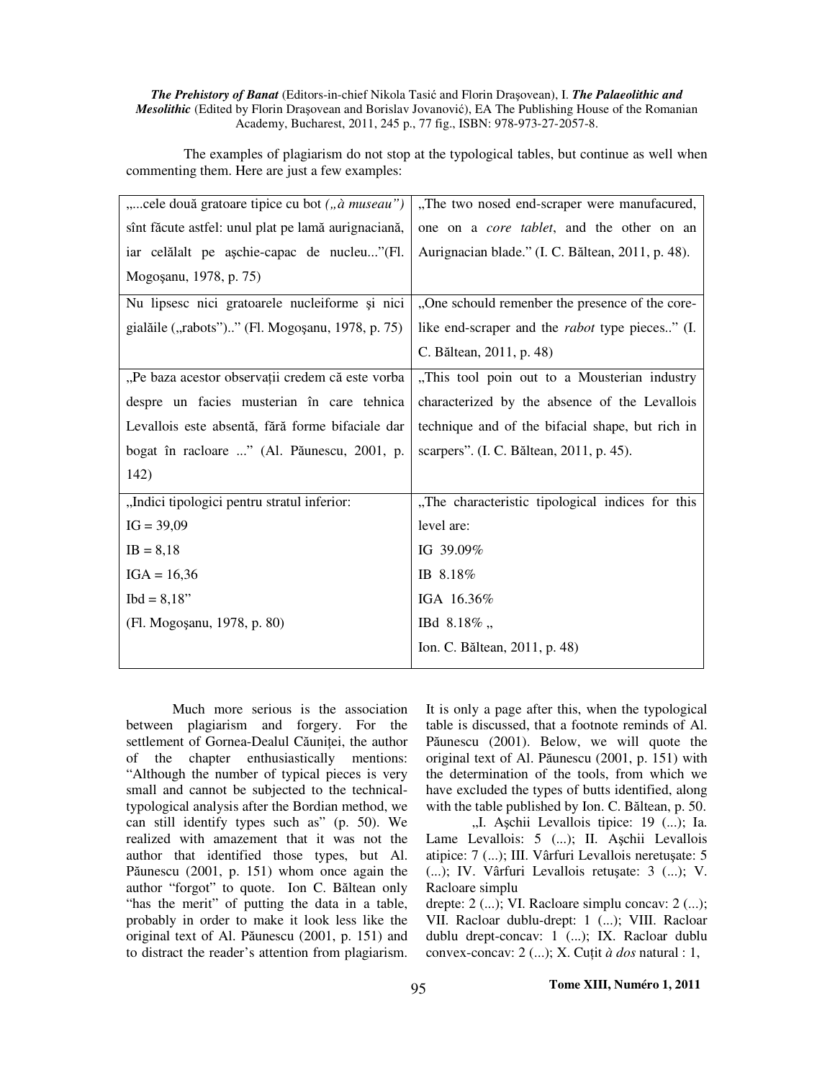### *The Prehistory of Banat* (Editors-in-chief Nikola Tasić and Florin Draşovean), I. *The Palaeolithic and Mesolithic* (Edited by Florin Drasovean and Borislav Jovanović), EA The Publishing House of the Romanian Academy, Bucharest, 2011, 245 p., 77 fig., ISBN: 978-973-27-2057-8.

The examples of plagiarism do not stop at the typological tables, but continue as well when commenting them. Here are just a few examples:

| "cele două gratoare tipice cu bot ("à museau")      | "The two nosed end-scraper were manufacured,           |
|-----------------------------------------------------|--------------------------------------------------------|
| sînt făcute astfel: unul plat pe lamă aurignaciană, | one on a <i>core tablet</i> , and the other on an      |
| iar celălalt pe așchie-capac de nucleu"(Fl.         | Aurignacian blade." (I. C. Băltean, 2011, p. 48).      |
| Mogosanu, 1978, p. 75)                              |                                                        |
| Nu lipsesc nici gratoarele nucleiforme și nici      | "One schould remember the presence of the core-        |
| gialăile ("rabots")" (Fl. Mogoșanu, 1978, p. 75)    | like end-scraper and the <i>rabot</i> type pieces" (I. |
|                                                     | C. Băltean, 2011, p. 48)                               |
| "Pe baza acestor observații credem că este vorba    | "This tool poin out to a Mousterian industry           |
| despre un facies musterian în care tehnica          | characterized by the absence of the Levallois          |
| Levallois este absentă, fără forme bifaciale dar    | technique and of the bifacial shape, but rich in       |
| bogat în racloare " (Al. Păunescu, 2001, p.         | scarpers". (I. C. Băltean, 2011, p. 45).               |
| 142)                                                |                                                        |
| "Indici tipologici pentru stratul inferior:         | "The characteristic tipological indices for this       |
| $IG = 39,09$                                        | level are:                                             |
| $IB = 8,18$                                         | IG 39.09%                                              |
| $IGA = 16,36$                                       | IB 8.18%                                               |
| $Ibd = 8,18"$                                       | IGA 16.36%                                             |
| (Fl. Mogosanu, 1978, p. 80)                         | IBd 8.18%,                                             |
|                                                     | Ion. C. Băltean, 2011, p. 48)                          |

Much more serious is the association between plagiarism and forgery. For the settlement of Gornea-Dealul Căuniței, the author of the chapter enthusiastically mentions: "Although the number of typical pieces is very small and cannot be subjected to the technicaltypological analysis after the Bordian method, we can still identify types such as" (p. 50). We realized with amazement that it was not the author that identified those types, but Al. Păunescu (2001, p. 151) whom once again the author "forgot" to quote. Ion C. Băltean only "has the merit" of putting the data in a table, probably in order to make it look less like the original text of Al. Păunescu (2001, p. 151) and to distract the reader's attention from plagiarism. It is only a page after this, when the typological table is discussed, that a footnote reminds of Al. Păunescu (2001). Below, we will quote the original text of Al. Păunescu (2001, p. 151) with the determination of the tools, from which we have excluded the types of butts identified, along with the table published by Ion. C. Băltean, p. 50.

"I. Aschii Levallois tipice: 19 (...); Ia. Lame Levallois: 5 (...); II. Aşchii Levallois atipice: 7 (...); III. Vârfuri Levallois neretuşate: 5 (...); IV. Vârfuri Levallois retuşate: 3 (...); V. Racloare simplu

drepte: 2 (...); VI. Racloare simplu concav: 2 (...); VII. Racloar dublu-drept: 1 (...); VIII. Racloar dublu drept-concav: 1 (...); IX. Racloar dublu convex-concav: 2 (...); X. Cuţit *à dos* natural : 1,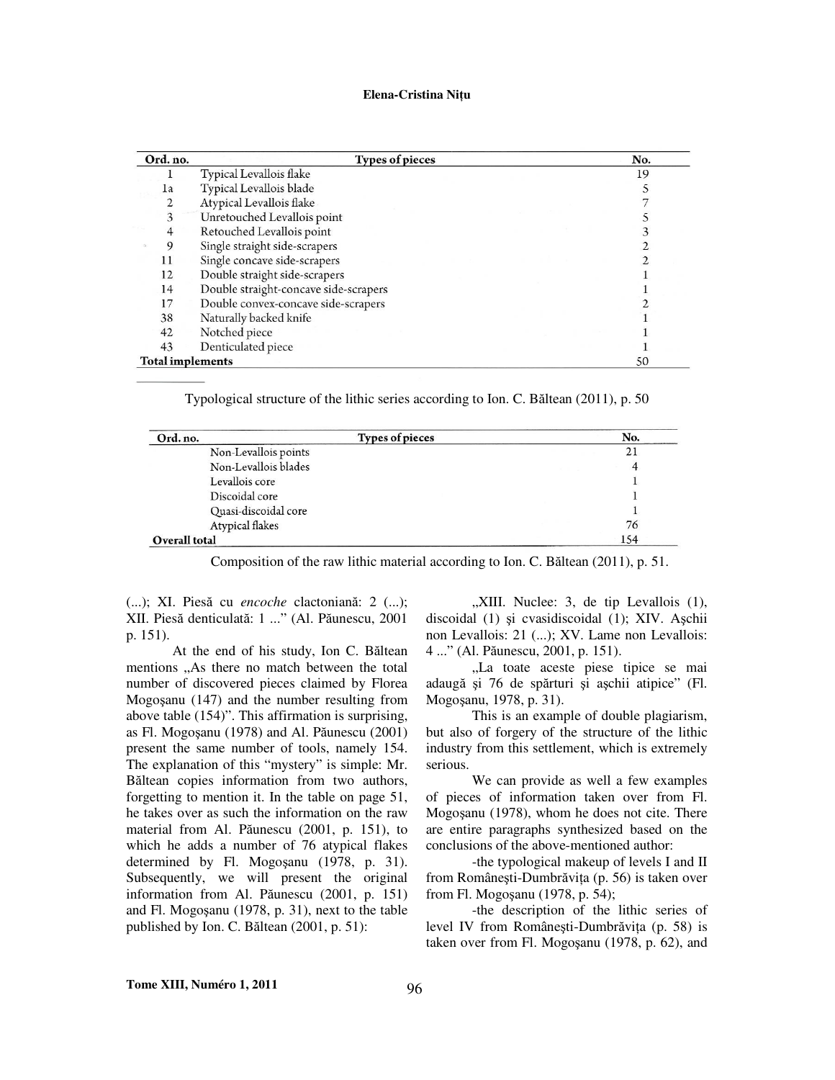| Ord. no.                | <b>Types of pieces</b>                | No. |  |
|-------------------------|---------------------------------------|-----|--|
|                         | Typical Levallois flake               | 19  |  |
| 1a                      | Typical Levallois blade               |     |  |
| 2                       | Atypical Levallois flake              |     |  |
| 3                       | Unretouched Levallois point           |     |  |
| 4                       | Retouched Levallois point             |     |  |
| 9                       | Single straight side-scrapers         |     |  |
| 11                      | Single concave side-scrapers          |     |  |
| 12                      | Double straight side-scrapers         |     |  |
| 14                      | Double straight-concave side-scrapers |     |  |
| 17                      | Double convex-concave side-scrapers   |     |  |
| 38                      | Naturally backed knife                |     |  |
| 42                      | Notched piece                         |     |  |
| 43                      | Denticulated piece                    |     |  |
| <b>Total implements</b> |                                       | 50  |  |

Typological structure of the lithic series according to Ion. C. Băltean (2011), p. 50

| Ord. no.             | <b>Types of pieces</b> | No. |
|----------------------|------------------------|-----|
| Non-Levallois points |                        | 21  |
| Non-Levallois blades |                        |     |
| Levallois core       |                        |     |
| Discoidal core       |                        |     |
| Quasi-discoidal core |                        |     |
| Atypical flakes      |                        | 76  |
| Overall total        |                        | 154 |

Composition of the raw lithic material according to Ion. C. Băltean (2011), p. 51.

(...); XI. Piesă cu *encoche* clactoniană: 2 (...); XII. Piesă denticulată: 1 ..." (Al. Păunescu, 2001 p. 151).

At the end of his study, Ion C. Băltean mentions "As there no match between the total number of discovered pieces claimed by Florea Mogoşanu (147) and the number resulting from above table (154)". This affirmation is surprising, as Fl. Mogoşanu (1978) and Al. Păunescu (2001) present the same number of tools, namely 154. The explanation of this "mystery" is simple: Mr. Băltean copies information from two authors, forgetting to mention it. In the table on page 51, he takes over as such the information on the raw material from Al. Păunescu (2001, p. 151), to which he adds a number of 76 atypical flakes determined by Fl. Mogoşanu (1978, p. 31). Subsequently, we will present the original information from Al. Păunescu (2001, p. 151) and Fl. Mogoşanu (1978, p. 31), next to the table published by Ion. C. Băltean (2001, p. 51):

",XIII. Nuclee: 3, de tip Levallois (1), discoidal (1) şi cvasidiscoidal (1); XIV. Aşchii non Levallois: 21 (...); XV. Lame non Levallois: 4 ..." (Al. Păunescu, 2001, p. 151).

"La toate aceste piese tipice se mai adaugă şi 76 de spărturi şi aşchii atipice" (Fl. Mogoşanu, 1978, p. 31).

This is an example of double plagiarism, but also of forgery of the structure of the lithic industry from this settlement, which is extremely serious.

We can provide as well a few examples of pieces of information taken over from Fl. Mogoşanu (1978), whom he does not cite. There are entire paragraphs synthesized based on the conclusions of the above-mentioned author:

-the typological makeup of levels I and II from Româneşti-Dumbrăviţa (p. 56) is taken over from Fl. Mogoşanu (1978, p. 54);

-the description of the lithic series of level IV from Româneşti-Dumbrăviţa (p. 58) is taken over from Fl. Mogoşanu (1978, p. 62), and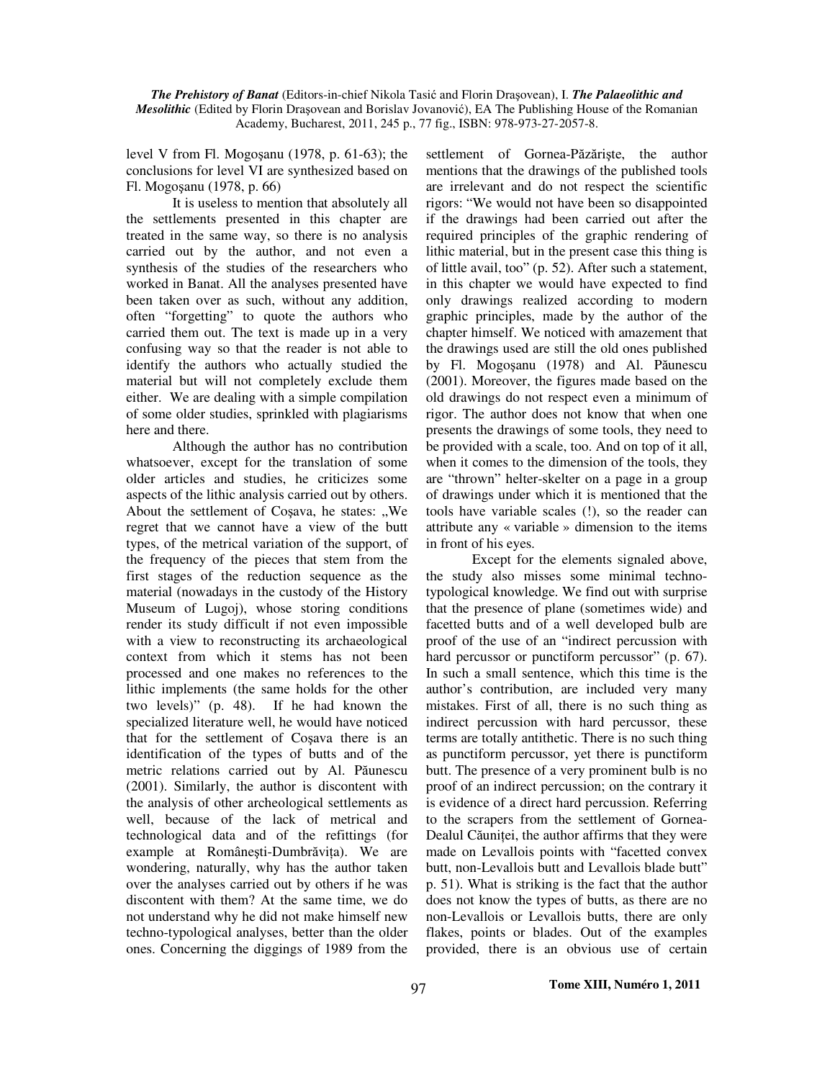#### *The Prehistory of Banat* (Editors-in-chief Nikola Tasić and Florin Draşovean), I. *The Palaeolithic and Mesolithic* (Edited by Florin Drasovean and Borislav Jovanović), EA The Publishing House of the Romanian Academy, Bucharest, 2011, 245 p., 77 fig., ISBN: 978-973-27-2057-8.

level V from Fl. Mogoşanu (1978, p. 61-63); the conclusions for level VI are synthesized based on Fl. Mogoşanu (1978, p. 66)

It is useless to mention that absolutely all the settlements presented in this chapter are treated in the same way, so there is no analysis carried out by the author, and not even a synthesis of the studies of the researchers who worked in Banat. All the analyses presented have been taken over as such, without any addition, often "forgetting" to quote the authors who carried them out. The text is made up in a very confusing way so that the reader is not able to identify the authors who actually studied the material but will not completely exclude them either. We are dealing with a simple compilation of some older studies, sprinkled with plagiarisms here and there.

Although the author has no contribution whatsoever, except for the translation of some older articles and studies, he criticizes some aspects of the lithic analysis carried out by others. About the settlement of Cosava, he states: "We regret that we cannot have a view of the butt types, of the metrical variation of the support, of the frequency of the pieces that stem from the first stages of the reduction sequence as the material (nowadays in the custody of the History Museum of Lugoj), whose storing conditions render its study difficult if not even impossible with a view to reconstructing its archaeological context from which it stems has not been processed and one makes no references to the lithic implements (the same holds for the other two levels)" (p. 48). If he had known the specialized literature well, he would have noticed that for the settlement of Coşava there is an identification of the types of butts and of the metric relations carried out by Al. Păunescu (2001). Similarly, the author is discontent with the analysis of other archeological settlements as well, because of the lack of metrical and technological data and of the refittings (for example at Româneşti-Dumbrăviţa). We are wondering, naturally, why has the author taken over the analyses carried out by others if he was discontent with them? At the same time, we do not understand why he did not make himself new techno-typological analyses, better than the older ones. Concerning the diggings of 1989 from the settlement of Gornea-Păzărişte, the author mentions that the drawings of the published tools are irrelevant and do not respect the scientific rigors: "We would not have been so disappointed if the drawings had been carried out after the required principles of the graphic rendering of lithic material, but in the present case this thing is of little avail, too" (p. 52). After such a statement, in this chapter we would have expected to find only drawings realized according to modern graphic principles, made by the author of the chapter himself. We noticed with amazement that the drawings used are still the old ones published by Fl. Mogoşanu (1978) and Al. Păunescu (2001). Moreover, the figures made based on the old drawings do not respect even a minimum of rigor. The author does not know that when one presents the drawings of some tools, they need to be provided with a scale, too. And on top of it all, when it comes to the dimension of the tools, they are "thrown" helter-skelter on a page in a group of drawings under which it is mentioned that the tools have variable scales (!), so the reader can attribute any « variable » dimension to the items in front of his eyes.

Except for the elements signaled above, the study also misses some minimal technotypological knowledge. We find out with surprise that the presence of plane (sometimes wide) and facetted butts and of a well developed bulb are proof of the use of an "indirect percussion with hard percussor or punctiform percussor" (p. 67). In such a small sentence, which this time is the author's contribution, are included very many mistakes. First of all, there is no such thing as indirect percussion with hard percussor, these terms are totally antithetic. There is no such thing as punctiform percussor, yet there is punctiform butt. The presence of a very prominent bulb is no proof of an indirect percussion; on the contrary it is evidence of a direct hard percussion. Referring to the scrapers from the settlement of Gornea-Dealul Căunitei, the author affirms that they were made on Levallois points with "facetted convex butt, non-Levallois butt and Levallois blade butt" p. 51). What is striking is the fact that the author does not know the types of butts, as there are no non-Levallois or Levallois butts, there are only flakes, points or blades. Out of the examples provided, there is an obvious use of certain